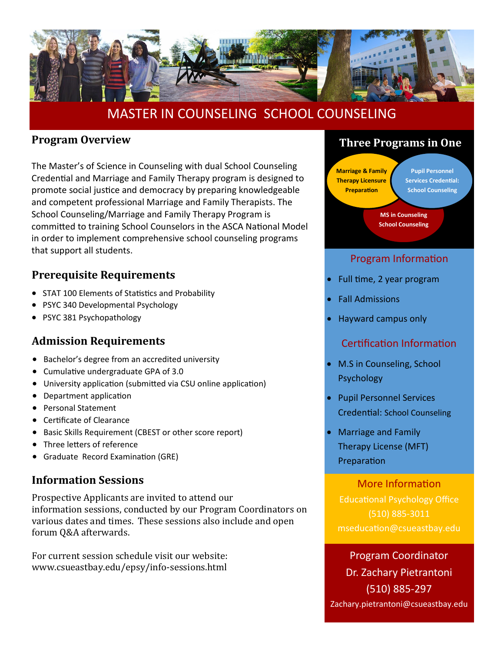

# MASTER IN COUNSELING SCHOOL COUNSELING

#### **Program Overview**

The Master's of Science in Counseling with dual School Counseling Credential and Marriage and Family Therapy program is designed to promote social justice and democracy by preparing knowledgeable and competent professional Marriage and Family Therapists. The School Counseling/Marriage and Family Therapy Program is committed to training School Counselors in the ASCA National Model in order to implement comprehensive school counseling programs that support all students.

#### **Prerequisite Requirements**

- STAT 100 Elements of Statistics and Probability
- PSYC 340 Developmental Psychology
- PSYC 381 Psychopathology

#### **Admission Requirements**

- Bachelor's degree from an accredited university
- Cumulative undergraduate GPA of 3.0
- University application (submitted via CSU online application)
- Department application
- Personal Statement
- Certificate of Clearance
- Basic Skills Requirement (CBEST or other score report)
- Three letters of reference
- Graduate Record Examination (GRE)

#### **Information Sessions**

Prospective Applicants are invited to attend our information sessions, conducted by our Program Coordinators on various dates and times. These sessions also include and open forum Q&A afterwards.

For current session schedule visit our website: www.csueastbay.edu/epsy/info-sessions.html



**Marriage & Family Therapy Licensure Preparation Pupil Personnel Services Credential: School Counseling**

> **MS in Counseling School Counseling**

#### Program Information

- Full time, 2 year program
- Fall Admissions
- Hayward campus only

#### Certification Information

- M.S in Counseling, School Psychology
- Pupil Personnel Services Credential: School Counseling
- Marriage and Family Therapy License (MFT) Preparation

More Information Educational Psychology Office (510) 885-3011 mseducation@csueastbay.edu

Program Coordinator Dr. Zachary Pietrantoni (510) 885-297 Zachary.pietrantoni@csueastbay.edu